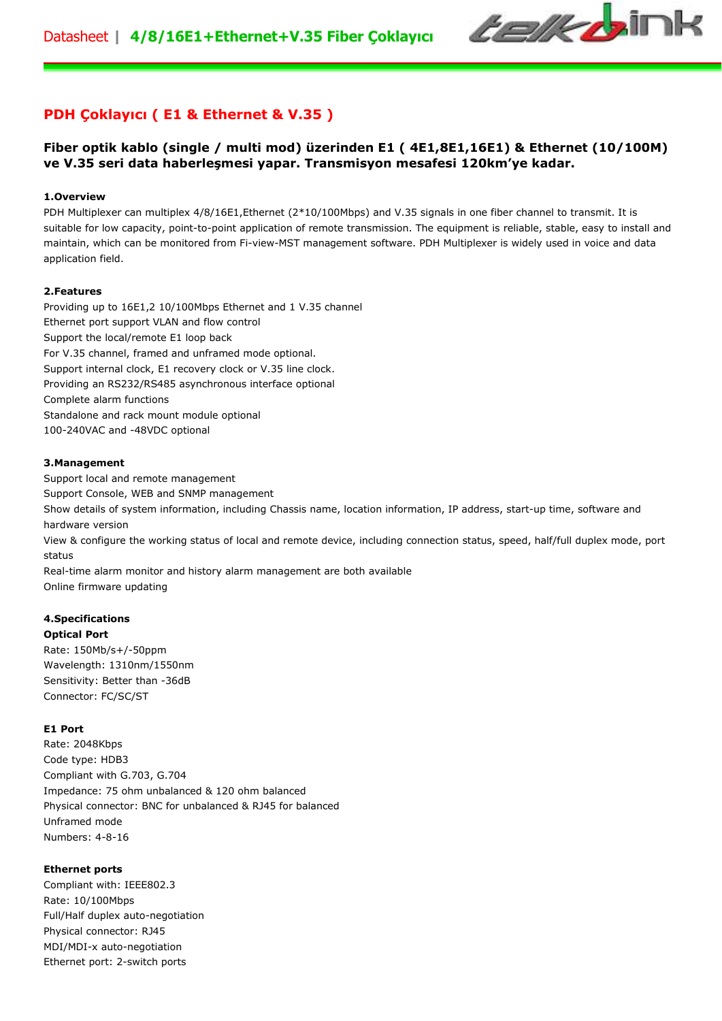

# **PDH Çoklayıcı ( E1 & Ethernet & V.35 )**

# **Fiber optik kablo (single / multi mod) üzerinden E1 ( 4E1,8E1,16E1) & Ethernet (10/100M) ve V.35 seri data haberleşmesi yapar. Transmisyon mesafesi 120km'ye kadar.**

#### **1.Overview**

PDH Multiplexer can multiplex 4/8/16E1,Ethernet (2\*10/100Mbps) and V.35 signals in one fiber channel to transmit. It is suitable for low capacity, point-to-point application of remote transmission. The equipment is reliable, stable, easy to install and maintain, which can be monitored from Fi-view-MST management software. PDH Multiplexer is widely used in voice and data application field.

#### **2.Features**

Providing up to 16E1,2 10/100Mbps Ethernet and 1 V.35 channel Ethernet port support VLAN and flow control Support the local/remote E1 loop back For V.35 channel, framed and unframed mode optional. Support internal clock, E1 recovery clock or V.35 line clock. Providing an RS232/RS485 asynchronous interface optional Complete alarm functions Standalone and rack mount module optional 100-240VAC and -48VDC optional

#### **3.Management**

Support local and remote management Support Console, WEB and SNMP management Show details of system information, including Chassis name, location information, IP address, start-up time, software and hardware version

View & configure the working status of local and remote device, including connection status, speed, half/full duplex mode, port status

Real-time alarm monitor and history alarm management are both available Online firmware updating

# **4.Specifications**

**Optical Port** Rate: 150Mb/s+/-50ppm Wavelength: 1310nm/1550nm Sensitivity: Better than -36dB Connector: FC/SC/ST

#### **E1 Port**

Rate: 2048Kbps Code type: HDB3 Compliant with G.703, G.704 Impedance: 75 ohm unbalanced & 120 ohm balanced Physical connector: BNC for unbalanced & RJ45 for balanced Unframed mode Numbers: 4-8-16

#### **Ethernet ports**

Compliant with: IEEE802.3 Rate: 10/100Mbps Full/Half duplex auto-negotiation Physical connector: RJ45 MDI/MDI-x auto-negotiation Ethernet port: 2-switch ports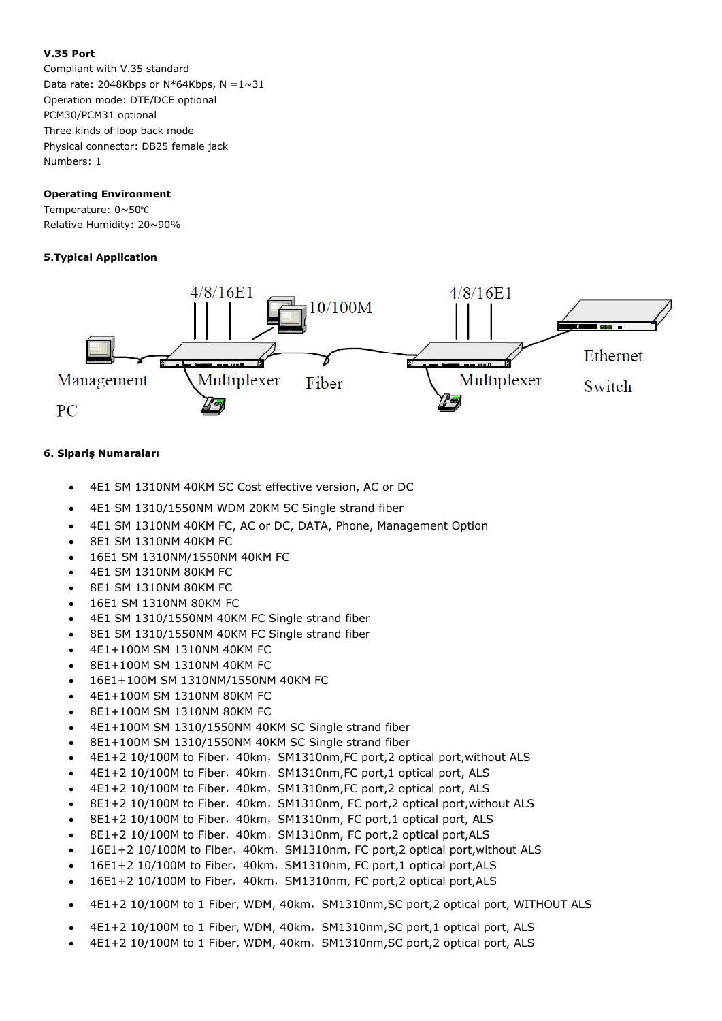### **V.35 Port**

Compliant with V.35 standard Data rate: 2048Kbps or  $N*64Kbps$ ,  $N = 1 \sim 31$ Operation mode: DTE/DCE optional PCM30/PCM31 optional Three kinds of loop back mode Physical connector: DB25 female jack Numbers: 1

### **Operating Environment**

Temperature: 0~50℃ Relative Humidity: 20~90%

## **5.Typical Application**



## **6. Sipariş Numaraları**

- 4E1 SM 1310NM 40KM SC Cost effective version, AC or DC
- 4E1 SM 1310/1550NM WDM 20KM SC Single strand fiber
- 4E1 SM 1310NM 40KM FC, AC or DC, DATA, Phone, Management Option
- 8E1 SM 1310NM 40KM FC
- 16E1 SM 1310NM/1550NM 40KM FC
- 4E1 SM 1310NM 80KM FC
- 8E1 SM 1310NM 80KM FC
- 16E1 SM 1310NM 80KM FC
- 4E1 SM 1310/1550NM 40KM FC Single strand fiber
- 8E1 SM 1310/1550NM 40KM FC Single strand fiber
- 4E1+100M SM 1310NM 40KM FC
- 8E1+100M SM 1310NM 40KM FC
- 16E1+100M SM 1310NM/1550NM 40KM FC
- 4E1+100M SM 1310NM 80KM FC
- 8E1+100M SM 1310NM 80KM FC
- 4E1+100M SM 1310/1550NM 40KM SC Single strand fiber
- 8E1+100M SM 1310/1550NM 40KM SC Single strand fiber
- 4E1+2 10/100M to Fiber, 40km, SM1310nm,FC port,2 optical port, without ALS
- 4E1+2 10/100M to Fiber, 40km, SM1310nm,FC port,1 optical port, ALS
- 4E1+2 10/100M to Fiber, 40km, SM1310nm,FC port,2 optical port, ALS
- 8E1+2 10/100M to Fiber, 40km, SM1310nm, FC port,2 optical port, without ALS
- 8E1+2 10/100M to Fiber, 40km, SM1310nm, FC port,1 optical port, ALS
- 8E1+2 10/100M to Fiber, 40km, SM1310nm, FC port,2 optical port,ALS
- 16E1+2 10/100M to Fiber,40km,SM1310nm, FC port,2 optical port,without ALS
- 16E1+2 10/100M to Fiber, 40km, SM1310nm, FC port,1 optical port,ALS
- 16E1+2 10/100M to Fiber, 40km, SM1310nm, FC port,2 optical port,ALS
- 4E1+2 10/100M to 1 Fiber, WDM, 40km, SM1310nm, SC port, 2 optical port, WITHOUT ALS
- 4E1+2 10/100M to 1 Fiber, WDM, 40km, SM1310nm,SC port,1 optical port, ALS
- 4E1+2 10/100M to 1 Fiber, WDM, 40km, SM1310nm,SC port,2 optical port, ALS